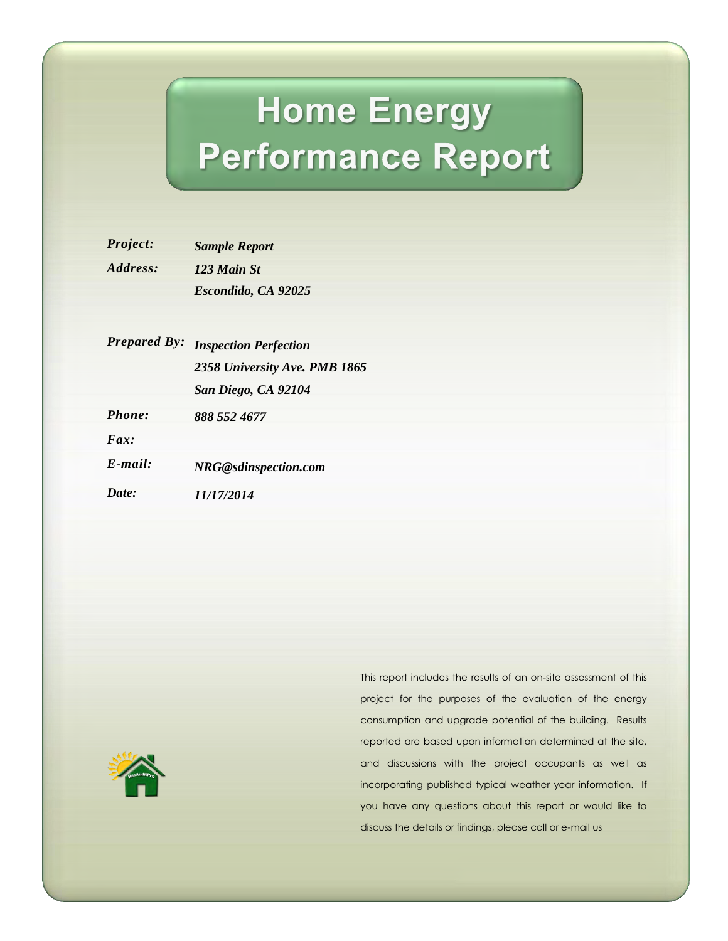# **Home Energy Performance Report**

| Project:               | <b>Sample Report</b> |
|------------------------|----------------------|
| <i><b>Address:</b></i> | 123 Main St          |
|                        | Escondido, CA 92025  |

|                      | Escondido, CA 92025           |
|----------------------|-------------------------------|
| <b>Prepared By:</b>  | <b>Inspection Perfection</b>  |
|                      | 2358 University Ave. PMB 1865 |
|                      | San Diego, CA 92104           |
| Phone:               | 888 552 4677                  |
| $\boldsymbol{F}$ ar: |                               |
| $E$ -mail:           | NRG@sdinspection.com          |
| Date:                | 11/17/2014                    |



This report includes the results of an on-site assessment of this project for the purposes of the evaluation of the energy consumption and upgrade potential of the building. Results reported are based upon information determined at the site, and discussions with the project occupants as well as incorporating published typical weather year information. If you have any questions about this report or would like to discuss the details or findings, please call or e-mail us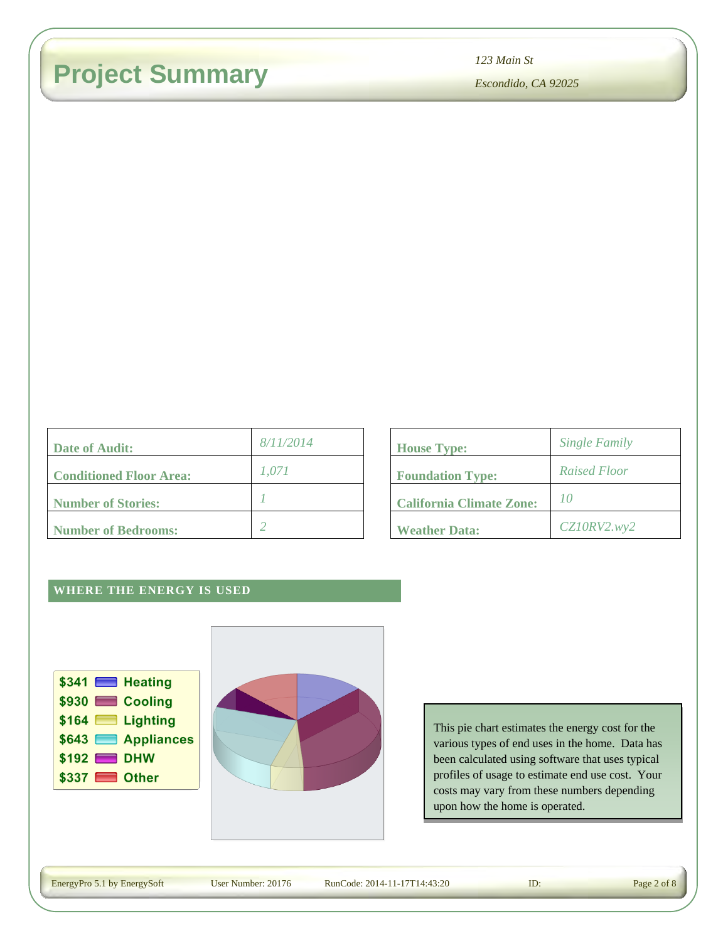### **Project Summary**

| Date of Audit:                 | 8/11/2014 | <b>House Type:</b>              |
|--------------------------------|-----------|---------------------------------|
| <b>Conditioned Floor Area:</b> | 1.071     | <b>Foundation Type:</b>         |
| Number of Stories:             |           | <b>California Climate Zone:</b> |
| Number of Bedrooms:            |           | <b>Weather Data:</b>            |

| 123 Main St                     |                      |  |
|---------------------------------|----------------------|--|
| Escondido, CA 92025             |                      |  |
|                                 |                      |  |
| <b>House Type:</b>              | <b>Single Family</b> |  |
|                                 | <b>Raised Floor</b>  |  |
| <b>Foundation Type:</b>         |                      |  |
| <b>California Climate Zone:</b> | 10                   |  |
| <b>Weather Data:</b>            | CZ10RV2. wy2         |  |

### **WHERE THE ENERGY IS USED**





This pie chart estimates the energy cost for the various types of end uses in the home. Data has been calculated using software that uses typical profiles of usage to estimate end use cost. Your costs may vary from these numbers depending upon how the home is operated.

EnergyPro 5.1 by EnergySoft

Energy Number: 20176 RunCode: 2014-11-17T14:43:20 **ID:** Page 2 of 8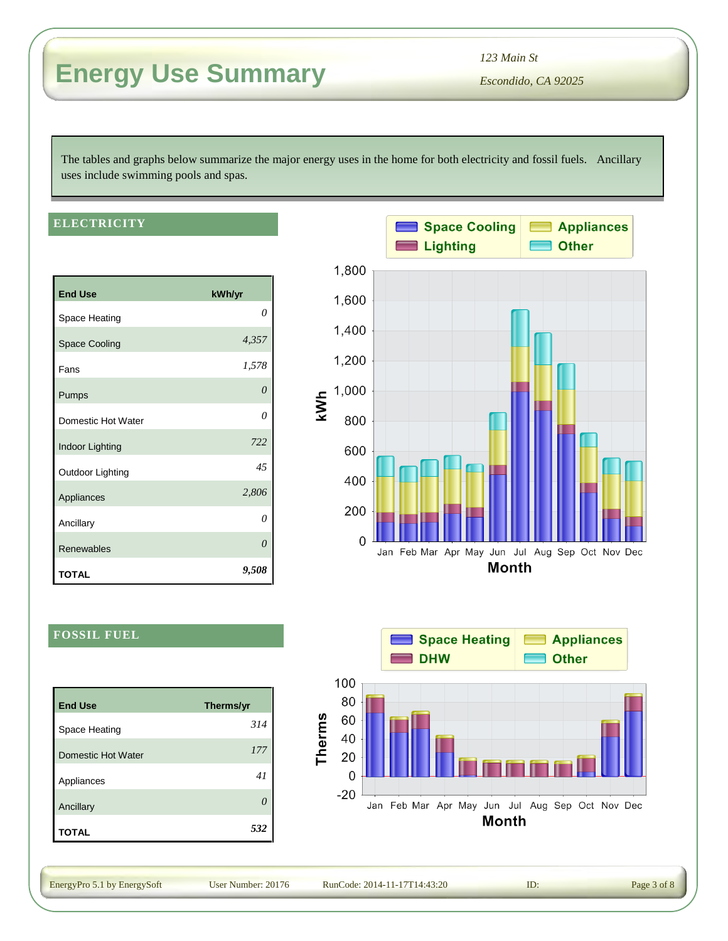### **Energy Use Summary**

*Escondido, CA 92025 123 Main St*

The tables and graphs below summarize the major energy uses in the home for both electricity and fossil fuels. Ancillary uses include swimming pools and spas.

#### **ELECTRICITY**

| <b>End Use</b>       | kWh/yr   |
|----------------------|----------|
| Space Heating        | 0        |
| <b>Space Cooling</b> | 4,357    |
| Fans                 | 1,578    |
| Pumps                | $\theta$ |
| Domestic Hot Water   | $\theta$ |
| Indoor Lighting      | 722      |
| Outdoor Lighting     | 45       |
| Appliances           | 2,806    |
| Ancillary            | $\theta$ |
| Renewables           | 0        |
| TOTAL                | 9,508    |



#### **FOSSIL FUEL**

| <b>End Use</b>     | Therms/yr |
|--------------------|-----------|
| Space Heating      | 314       |
| Domestic Hot Water | 177       |
| Appliances         | 41        |
| Ancillary          |           |
| <b>TOTAL</b>       | 532       |



EnergyPro 5.1 by EnergySoft

Energy Number: 20176 RunCode: 2014-11-17T14:43:20 **ID:** Page 3 of 8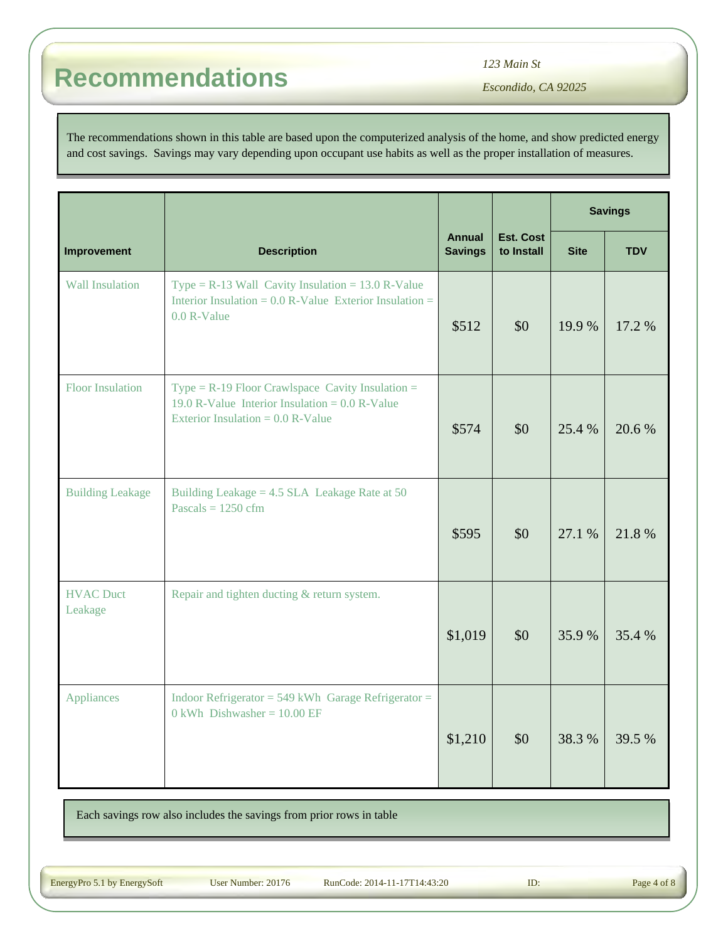*123 Main St*

*Escondido, CA 92025*

The recommendations shown in this table are based upon the computerized analysis of the home, and show predicted energy and cost savings. Savings may vary depending upon occupant use habits as well as the proper installation of measures.

|                             |                                                                                                                                               |                                 |                         | <b>Savings</b> |            |
|-----------------------------|-----------------------------------------------------------------------------------------------------------------------------------------------|---------------------------------|-------------------------|----------------|------------|
| Improvement                 | <b>Description</b>                                                                                                                            | <b>Annual</b><br><b>Savings</b> | Est. Cost<br>to Install | <b>Site</b>    | <b>TDV</b> |
| <b>Wall Insulation</b>      | Type = $R-13$ Wall Cavity Insulation = 13.0 R-Value<br>Interior Insulation = $0.0$ R-Value Exterior Insulation =<br>0.0 R-Value               | \$512                           | \$0                     | 19.9%          | 17.2 %     |
| <b>Floor Insulation</b>     | Type = $R-19$ Floor Crawlspace Cavity Insulation =<br>19.0 R-Value Interior Insulation = $0.0$ R-Value<br>Exterior Insulation = $0.0$ R-Value | \$574                           | \$0                     | 25.4 %         | 20.6%      |
| <b>Building Leakage</b>     | Building Leakage = $4.5$ SLA Leakage Rate at $50$<br>Pascals = $1250 \text{ cfm}$                                                             | \$595                           | \$0                     | 27.1 %         | 21.8%      |
| <b>HVAC Duct</b><br>Leakage | Repair and tighten ducting & return system.                                                                                                   | \$1,019                         | \$0                     | 35.9%          | 35.4 %     |
| <b>Appliances</b>           | Indoor Refrigerator = $549$ kWh Garage Refrigerator =<br>$0$ kWh Dishwasher = 10.00 EF                                                        | \$1,210                         | \$0                     | 38.3%          | 39.5 %     |

Each savings row also includes the savings from prior rows in table

EnergyPro 5.1 by EnergySoft User Number: 20176 RunCode: 2014-11-17T14:43:20 ID: Page 4 of 8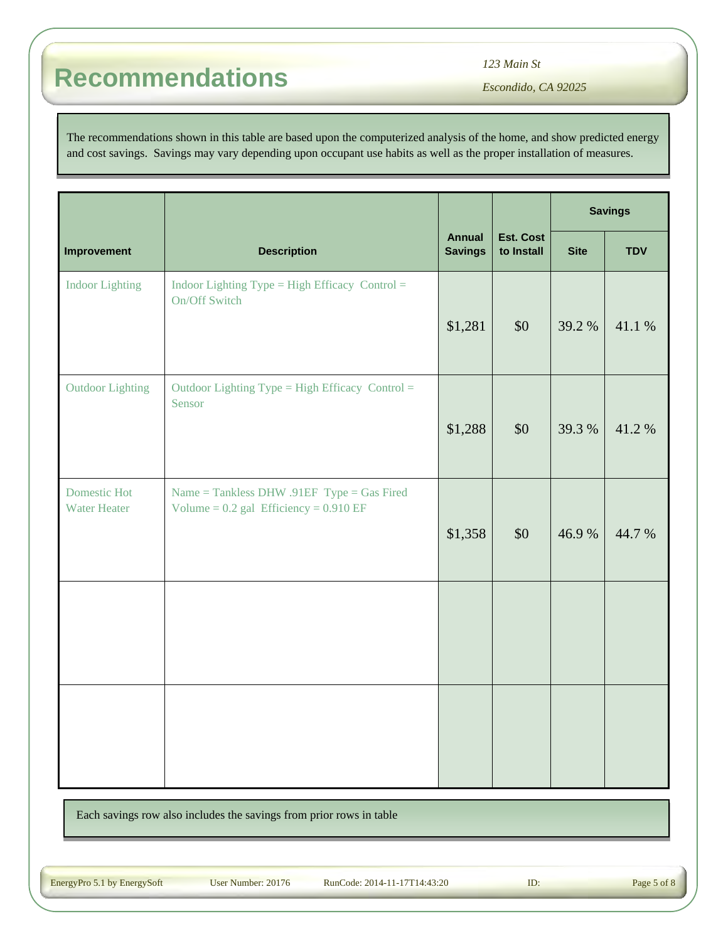*123 Main St*

*Escondido, CA 92025*

The recommendations shown in this table are based upon the computerized analysis of the home, and show predicted energy and cost savings. Savings may vary depending upon occupant use habits as well as the proper installation of measures.

|                                            | <b>Description</b>                                                                       |         |                         | <b>Savings</b> |            |
|--------------------------------------------|------------------------------------------------------------------------------------------|---------|-------------------------|----------------|------------|
| Improvement                                |                                                                                          |         | Est. Cost<br>to Install | <b>Site</b>    | <b>TDV</b> |
| <b>Indoor Lighting</b>                     | Indoor Lighting Type = High Efficacy Control =<br>On/Off Switch                          | \$1,281 | \$0                     | 39.2 %         | 41.1 %     |
| <b>Outdoor Lighting</b>                    | Outdoor Lighting Type = High Efficacy Control =<br>Sensor                                | \$1,288 | \$0                     | 39.3 %         | 41.2%      |
| <b>Domestic Hot</b><br><b>Water Heater</b> | Name = Tankless DHW .91EF Type = Gas Fired<br>Volume = $0.2$ gal Efficiency = $0.910$ EF | \$1,358 | \$0                     | 46.9%          | 44.7 %     |
|                                            |                                                                                          |         |                         |                |            |
|                                            |                                                                                          |         |                         |                |            |

Each savings row also includes the savings from prior rows in table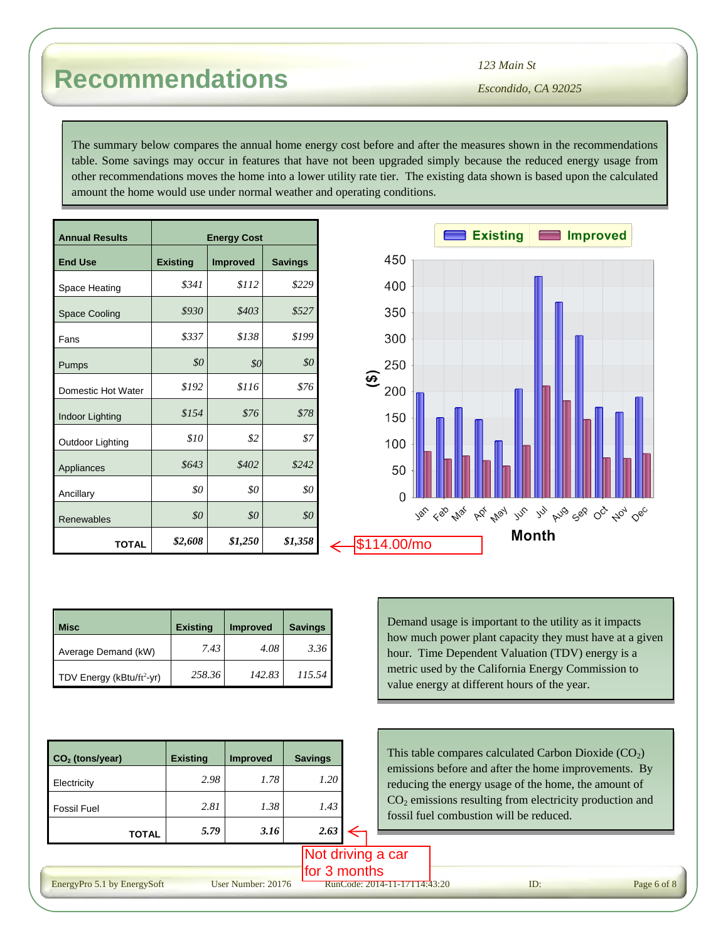The summary below compares the annual home energy cost before and after the measures shown in the recommendations table. Some savings may occur in features that have not been upgraded simply because the reduced energy usage from other recommendations moves the home into a lower utility rate tier. The existing data shown is based upon the calculated amount the home would use under normal weather and operating conditions.

| <b>Annual Results</b> | <b>Energy Cost</b> |                |         |  |  |  |  |
|-----------------------|--------------------|----------------|---------|--|--|--|--|
| <b>End Use</b>        | <b>Existing</b>    | <b>Savings</b> |         |  |  |  |  |
| Space Heating         | \$341              | \$112          | \$229   |  |  |  |  |
| <b>Space Cooling</b>  | \$930              | \$403          | \$527   |  |  |  |  |
| Fans                  | \$337              | \$138          | \$199   |  |  |  |  |
| Pumps                 | \$0                | \$0            | \$0     |  |  |  |  |
| Domestic Hot Water    | \$192              | \$116          | \$76    |  |  |  |  |
| Indoor Lighting       | \$154              | \$76           | \$78    |  |  |  |  |
| Outdoor Lighting      | \$10               | \$2            | \$7     |  |  |  |  |
| Appliances            | \$643              | \$402          | \$242   |  |  |  |  |
| Ancillary             | \$0                | \$0            | \$0     |  |  |  |  |
| Renewables            | \$0                | \$0            | \$0     |  |  |  |  |
| <b>TOTAL</b>          | \$2,608            | \$1,250        | \$1,358 |  |  |  |  |



| Misc                                  | <b>Existing</b> | <b>Improved</b> | <b>Savings</b> |
|---------------------------------------|-----------------|-----------------|----------------|
| Average Demand (kW)                   | 7.43            | 4.08            | 3.36           |
| TDV Energy (kBtu/ft <sup>2</sup> -yr) | 258.36          | 142.83          | 115.54         |

| $\mathsf{CO}_2$ (tons/year) | <b>Existing</b> | <b>Improved</b> | <b>Savings</b> |  |
|-----------------------------|-----------------|-----------------|----------------|--|
| Electricity                 | 2.98            | 1.78            | 1.20           |  |
| <b>Fossil Fuel</b>          | 2.81            | 1.38            | 1.43           |  |
| <b>TOTAL</b>                | 5.79            | 3.16            | 2.63           |  |

Demand usage is important to the utility as it impacts how much power plant capacity they must have at a given hour. Time Dependent Valuation (TDV) energy is a metric used by the California Energy Commission to value energy at different hours of the year.

This table compares calculated Carbon Dioxide  $(CO<sub>2</sub>)$ emissions before and after the home improvements. By reducing the energy usage of the home, the amount of CO2 emissions resulting from electricity production and fossil fuel combustion will be reduced.

 $\frac{\text{for 3 months}}{\text{RunCode: } 2014-11-17114:43:20}$ 

Not driving a car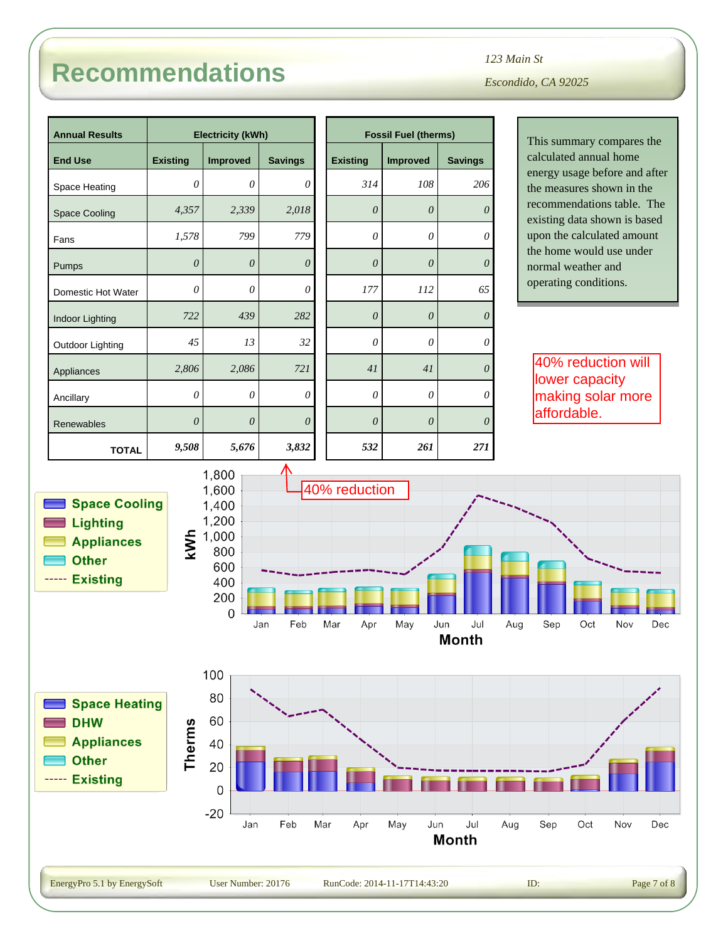*Escondido, CA 92025 123 Main St*

*0*

*0*

*0*

*650*

*2060*

*0*

*0*

This summary compares the calculated annual home energy usage before and after the measures shown in the recommendations table. The existing data shown is based upon the calculated amount the home would use under normal weather and operating conditions.

40% reduction will lower capacity making solar more

affordable.

|                       |                               |                                           |                 | <b>Fossil Fuel (therms)</b> |                            |
|-----------------------|-------------------------------|-------------------------------------------|-----------------|-----------------------------|----------------------------|
| <b>Existing</b>       | <b>Improved</b>               | <b>Savings</b>                            | <b>Existing</b> | <b>Improved</b>             | <b>Savings</b>             |
| $\theta$              | $\theta$                      | 0                                         | 314             | 108                         | 206                        |
| 4,357                 | 2,339                         | 2,018                                     | $\theta$        | $\theta$                    | $\mathcal O$               |
| 1,578                 | 799                           | 779                                       | $\mathcal O$    | $\mathcal O$                | $\mathcal O$               |
| $\mathcal{O}$         | $\theta$                      | $\theta$                                  | $\theta$        | $\boldsymbol{\theta}$       | $\theta$                   |
| $\theta$              | 0                             | 0                                         | 177             | 112                         | 65                         |
| 722                   | 439                           | 282                                       | $\theta$        | $\theta$                    | $\theta$                   |
| 45                    | 13                            | 32                                        | 0               | $\mathcal O$                | $\mathcal O$               |
| 2,806                 | 2,086                         | 721                                       | 41              | 41                          | $\theta$                   |
| $\theta$              | 0                             | 0                                         | 0               | $\theta$                    | $\theta$                   |
| $\boldsymbol{\theta}$ | $\theta$                      | $\theta$                                  | $\theta$        | $\boldsymbol{\mathit{0}}$   | $\theta$                   |
| 9,508                 | 5,676                         | 3,832                                     | 532             | 261                         | 271                        |
| kWh                   | 800<br>600<br>400<br>200<br>0 | Feb                                       | Mar<br>Apr      | May                         | Jul<br>Jun<br><b>Month</b> |
|                       | <b>Space Cooling</b>          | 1,800<br>1,600<br>1,400<br>1,200<br>1,000 | Jan             |                             | 40% reduction              |

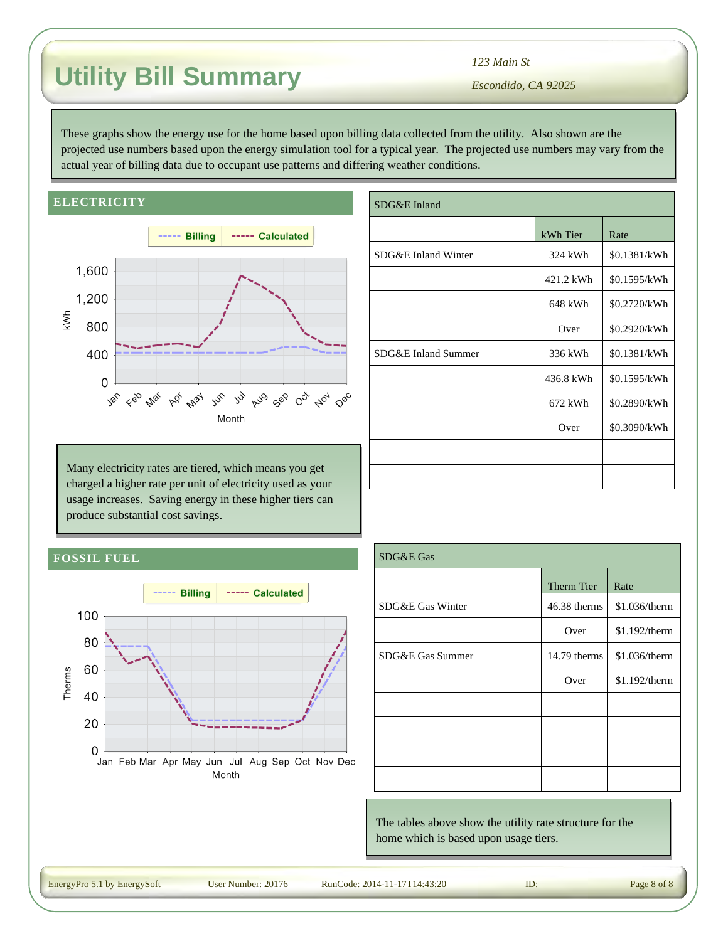# **Utility Bill Summary**

*123 Main St*

*Escondido, CA 92025*

These graphs show the energy use for the home based upon billing data collected from the utility. Also shown are the projected use numbers based upon the energy simulation tool for a typical year. The projected use numbers may vary from the actual year of billing data due to occupant use patterns and differing weather conditions.

#### **ELECTRICITY**



Many electricity rates are tiered, which means you get charged a higher rate per unit of electricity used as your usage increases. Saving energy in these higher tiers can produce substantial cost savings.

| SDG&E Inland        |           |              |  |  |  |
|---------------------|-----------|--------------|--|--|--|
|                     | kWh Tier  | Rate         |  |  |  |
| SDG&E Inland Winter | 324 kWh   | \$0.1381/kWh |  |  |  |
|                     | 421.2 kWh | \$0.1595/kWh |  |  |  |
|                     | 648 kWh   | \$0.2720/kWh |  |  |  |
|                     | Over      | \$0.2920/kWh |  |  |  |
| SDG&E Inland Summer | 336 kWh   | \$0.1381/kWh |  |  |  |
|                     | 436.8 kWh | \$0.1595/kWh |  |  |  |
|                     | 672 kWh   | \$0.2890/kWh |  |  |  |
|                     | Over      | \$0.3090/kWh |  |  |  |
|                     |           |              |  |  |  |
|                     |           |              |  |  |  |

#### **FOSSIL FUEL**



| SDG&E Gas        |                   |               |  |  |
|------------------|-------------------|---------------|--|--|
|                  | <b>Therm Tier</b> | Rate          |  |  |
| SDG&E Gas Winter | 46.38 therms      | \$1.036/therm |  |  |
|                  | Over              | \$1.192/therm |  |  |
| SDG&E Gas Summer | 14.79 therms      | \$1.036/therm |  |  |
|                  | Over              | \$1.192/therm |  |  |
|                  |                   |               |  |  |
|                  |                   |               |  |  |
|                  |                   |               |  |  |
|                  |                   |               |  |  |

The tables above show the utility rate structure for the home which is based upon usage tiers.